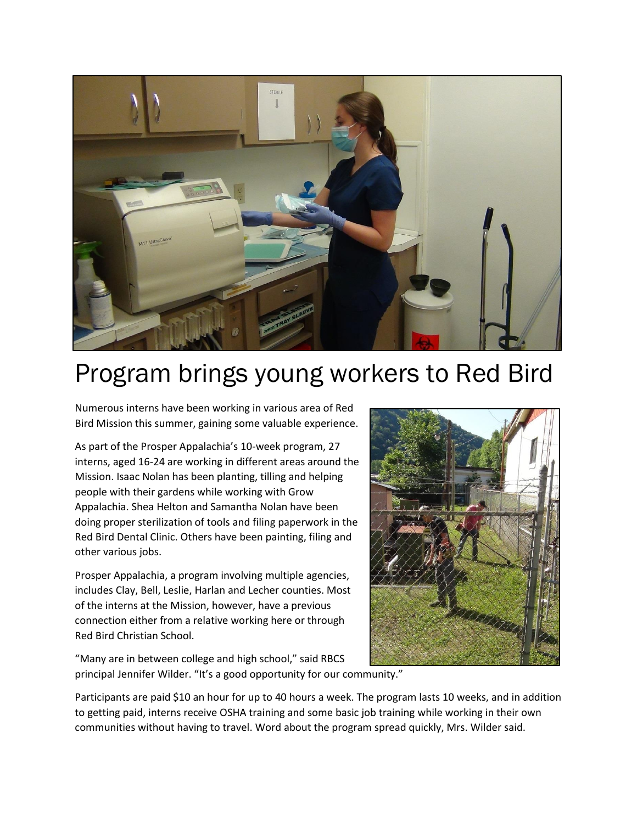

## Program brings young workers to Red Bird

Numerous interns have been working in various area of Red Bird Mission this summer, gaining some valuable experience.

As part of the Prosper Appalachia's 10-week program, 27 interns, aged 16-24 are working in different areas around the Mission. Isaac Nolan has been planting, tilling and helping people with their gardens while working with Grow Appalachia. Shea Helton and Samantha Nolan have been doing proper sterilization of tools and filing paperwork in the Red Bird Dental Clinic. Others have been painting, filing and other various jobs.

Prosper Appalachia, a program involving multiple agencies, includes Clay, Bell, Leslie, Harlan and Lecher counties. Most of the interns at the Mission, however, have a previous connection either from a relative working here or through Red Bird Christian School.



"Many are in between college and high school," said RBCS principal Jennifer Wilder. "It's a good opportunity for our community."

Participants are paid \$10 an hour for up to 40 hours a week. The program lasts 10 weeks, and in addition to getting paid, interns receive OSHA training and some basic job training while working in their own communities without having to travel. Word about the program spread quickly, Mrs. Wilder said.